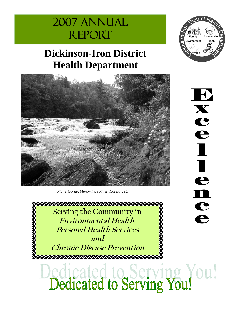# 2007 Annual **REPORT**

.trict

H

 $\mathbf{X}$ 

 $\mathbf C$ 

e

 $\blacksquare$ 

 $\blacksquare$ 

e

n

 $\mathbf C$ 

e

Environment

Communit

Health

# **Dickinson-Iron District Health Department**



*Pier's Gorge, Menominee River, Norway, MI* 

\*\*\*\*\*\*\*\*\*\*\*\*\*\*\*\*\*\*\*\*\*\*\*\*\*\*\*\*\*\*\*\*\*\*\*\*\*\* **Serving the Community in XOXOXOXOXOX Environmental Health, Personal Health Services and** 

**Chronic Disease Prevention** 

ledicated to Serving You!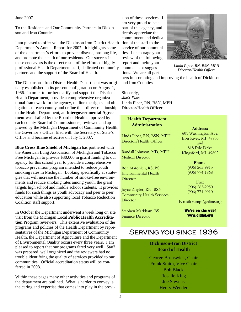#### June 2007

To the Residents and Our Community Partners in Dickinson and Iron Counties:

I am pleased to offer you the Dickinson Iron District Health Department's Annual Report for 2007. It highlights some of the department's efforts to prevent disease, prolong life, and promote the health of our residents. Our success in these endeavors is the direct result of the efforts of highly professional Health Department staff, dedicated community partners and the support of the Board of Health.

The Dickinson - Iron District Health Department was originally established in its present configuration on August 1, 1966. In order to further clarify and support the District Health Department, provide a comprehensive organizational framework for the agency, outline the rights and obligations of each county and define their direct relationship to the Health Department, an **Intergovernmental Agreement** was drafted by the Board of Health, approved by each county Board of Commissioners, reviewed and approved by the Michigan Department of Community Health, the Governor's Office, filed with the Secretary of State's Office and became effective on July 1, 2007.

**Blue Cross Blue Shield of Michigan** has partnered with the American Lung Association of Michigan and Tobacco Free Michigan to provide \$30,000 in **grant** funding to our agency for this school year to provide a comprehensive tobacco prevention program intended to reduce youth smoking rates in Michigan. Looking specifically at strategies that will increase the number of smoke-free environments and reduce smoking rates among youth, the grant targets high school and middle school students. It provides funds for such things as youth advocacy and peer to peer education while also supporting local Tobacco Reduction Coalition staff support.

In October the Department underwent a week long on site visit from the Michigan Local **Public Health Accreditation** Program reviewers. This extensive evaluation of the programs and policies of the Health Department by representatives of the Michigan Department of Community Health, the Department of Agriculture and the Department of Environmental Quality occurs every three years. I am pleased to report that our programs fared very well. Staff was prepared, well organized and the reviewers had no trouble identifying the quality of services provided to our communities. Official accreditation status will be conferred in 2008.

Within these pages many other activities and programs of the department are outlined. What is harder to convey is the caring and expertise that comes into play in the provi-

sion of these services. I am very proud to be a part of this agency, and deeply appreciate the commitment and dedication of the staff to the service of our communities. I encourage your review of the following report and invite your comments or suggestions. We are all part-



*Linda Piper, RN, BSN, MPH Director/Health Officer*

ners in promoting and improving the health of Dickinson and Iron Counties.

Sincerely, *Linda Piper*  Linda Piper, RN, BSN, MPH Director/Health Officer

### **Health Department Administration**

Linda Piper, RN, BSN, MPH Director/Health Officer

Randall Johnson, MD, MPH Medical Director

Ron Matonich, RS, BS Environmental Health **Director** 

Joyce Ziegler, RN, BSN Community Health Services **Director** 

Stephen Markham, BS Finance Director

#### **Address:**

601 Washington Ave. Iron River, MI 49935 and 818 Pyle Drive Kingsford, MI 49802

> **Phone:**  (906) 265-9913 (906) 774-1868

**Fax:**  (906) 265-2950 (906) 774-9910

E-mail: rumpf@hline.org

**We're on the web! www.didhd.org** 

# Serving you since 1936

### **Dickinson-Iron District Board of Health**

George Brunswick, Chair Frank Smith, Vice Chair Bob Black Rosalie King Joe Stevens Henry Wender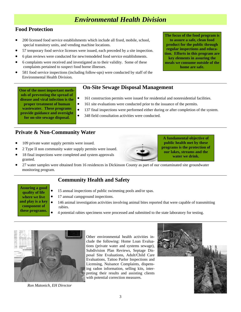# *Environmental Health Division*

# **Food Protection**

- 200 licensed food service establishments which include all fixed, mobile, school, special transitory units, and vending machine locations.
- 57 temporary food service licenses were issued, each preceded by a site inspection.
- 6 plan reviews were conducted for new/remodeled food service establishments.
- 6 complaints were received and investigated as to their validity. Some of these complaints pertained to suspect food borne illnesses.
- 581 food service inspections (including follow-ups) were conducted by staff of the Environmental Health Division.

# **On-Site Sewage Disposal Management**

- 161 construction permits were issued for residential and nonresidential facilities.
- 161 site evaluations were conducted prior to the issuance of the permits.
- 137 final inspections were performed either during or after completion of the system.
- 348 field consultation activities were conducted. **provide guidance and oversight for on-site sewage disposal.**

## **Private & Non-Community Water**

**One of the most important methods of preventing the spread of disease and viral infection is the proper treatment of human wastewater. These programs** 

- 109 private water supply permits were issued.
- 2 Type II non community water supply permits were issued.
- 18 final inspections were completed and system approvals granted.
- 27 water samples were obtained from 16 residences in Dickinson County as part of our contaminated site groundwater monitoring program.

# **Community Health and Safety**

- **Assuring a good quality of life where we live and play is a key component of these programs.**
- 15 annual inspections of public swimming pools and/or spas.
- 17 annual campground inspections.
- 146 animal investigation activities involving animal bites reported that were capable of transmitting rabies.
	- 4 potential rabies specimens were processed and submitted to the state laboratory for testing.



Other environmental health activities include the following: Home Loan Evaluations (private water and systems sewage), Subdivision Plan Reviews, Septage Disposal Site Evaluations, Adult/Child Care Evaluations, Tattoo Parlor Inspections and Licensing, Nuisance Complaints, dispensing radon information, selling kits, interpreting their results and assisting clients with potential correction measures.



**The focus of the food program is to assure a safe, clean food product for the public through regular inspections and education. Efforts in this program are key elements in assuring the meals we consume outside of the home are safe.** 



**A fundamental objective of public health met by these programs is the protection of our lakes, streams and the water we drink.**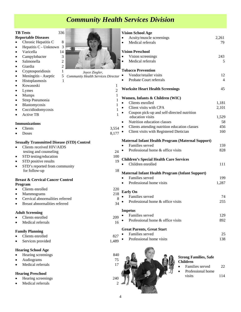# *Community Health Services Division*

#### **TB Tests** 336 • Chronic Hepatitis C 8 • Varicella 14 Campylobacter 3 • Salmonella 2 • Giardia 2 • Kowasoski 1 • Lymes  $2$ Mumps 1 • Strep Pneumonia 1 • Blastomycosis 1 • Coccidiodomycosis 1 Active TB 1 • Clients 3,554 • Doses  $8,177$ testing and counseling 24 STD testing/education 100 STD positive results 19 for follow-up 18 • Clients enrolled 220 • Mammograms 218 ervical abnormalities referred 8 • Breast abnormalities referred 34 • Clients enrolled 209 Medical referrals 16 • Clients enrolled 827 Services provided 1,489 **Vision School Age**  • Acuity/muscle screenings 2,261 • Medical referrals 79 **Vision Preschool**  • Vision screenings 243 • Medical referrals 5 **Tobacco Prevention**  • Vendor/retailer visits 12 Probate Court referrals 4 **Worksite Heart Health Screenings** 45 **Women, Infants & Children (WIC)**  Clients enrolled 1,181 • Client visits with CPA 2,101 • Coupon pick-up and self-directed nutrition education visits 1,529 • Nutrition education classes 58 Clients attending nutrition education classes 456 • Client visits with Registered Dietician 160 **Maternal Infant Health Program (Maternal Support)**  • Families served 159 • Professional home & office visits 828 **Children's Special Health Care Services**  Children enrolled 111 **Maternal Infant Health Program (Infant Support)**  • Families served 199 Professional home visits 1,287 **Early On**  Families served 74 • Professional home & office visits 255 **Impetus**  • Families served 129 • Professional home & office visits 892 **Great Parents, Great Start**  • Families served 25 Professional home visits 138 *Joyce Ziegler, Community Health Services Director*



#### **Strong Families, Safe Children**

- Families served 22 Professional home
	- visits 114
- 
- **Reportable Diseases**
- Hepatitis C Unknown 3
- 
- 
- 
- 
- Cryptosporidiosis 1
- Meningitis Aseptic 5
- Histoplasmosis 1
- 
- 
- 
- 
- 
- 
- 

### **Immunizations**

- 
- 

### **Sexually Transmitted Disease (STD) Control**

- Clients received HIV/AIDS
- 
- 
- STD's reported from community

#### **Breast & Cervical Cancer Control Program**

- 
- 
- 
- 

### **Adult Screening**

- 
- 
- **Family Planning**
- 
- 

## **Hearing School Age**

- Hearing screenings 840
- Audiograms 75
- **Medical referrals** 17

## **Hearing Preschool**

- Hearing screenings
- Medical referrals



- 
- 
- 
- 
- 
-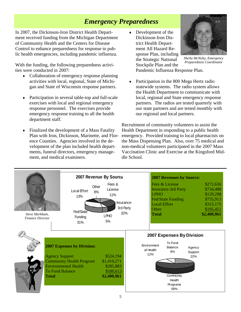# *Emergency Preparedness*

In 2007, the Dickinson-Iron District Health Department received funding from the Michigan Department of Community Health and the Centers for Disease Control to enhance preparedness for response to public health emergencies, including pandemic influenza.

With the funding, the following preparedness activities were conducted in 2007:

- ♦ Collaboration of emergency response planning activities with local, regional, State of Michigan and State of Wisconsin response partners.
- ♦ Participation in several table-top and full-scale exercises with local and regional emergency response personnel. The exercises provide emergency response training to all the health department staff.
- Finalized the development of a Mass Fatality Plan with Iron, Dickinson, Marinette, and Florence Counties. Agencies involved in the development of the plan included health departments, funeral directors, emergency management, and medical examiners.

• Development of the Dickinson-Iron District Health Department All Hazard Response Plan, including the Strategic National Stockpile Plan and the Pandemic Influenza Response Plan.



*Sheila McNulty, Emergency Preparedness Coordinator* 

♦ Participation in the 800 Mega Hertz radio statewide systems. The radio system allows the Health Department to communicate with local, regional and State emergency response partners. The radios are tested quarterly with our state partners and are tested monthly with our regional and local partners.

Recruitment of community volunteers to assist the Health Department in responding to a public health emergency. Provided training to local pharmacists on the Mass Dispensing Plan. Also, over 75 medical and non-medical volunteers participated in the 2007 Mass Vaccination Clinic and Exercise at the Kingsford Middle School.